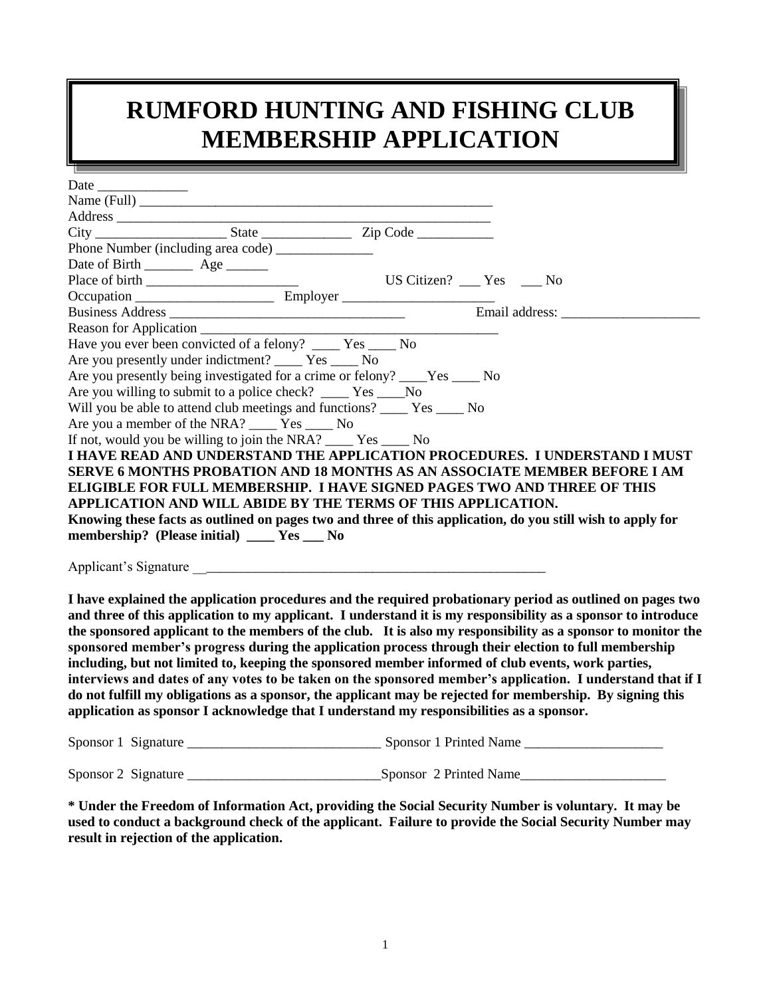# **RUMFORD HUNTING AND FISHING CLUB MEMBERSHIP APPLICATION**

| the control of the control of the                                                                  |                                                                                                               |
|----------------------------------------------------------------------------------------------------|---------------------------------------------------------------------------------------------------------------|
|                                                                                                    |                                                                                                               |
|                                                                                                    |                                                                                                               |
|                                                                                                    |                                                                                                               |
|                                                                                                    |                                                                                                               |
|                                                                                                    |                                                                                                               |
|                                                                                                    |                                                                                                               |
|                                                                                                    |                                                                                                               |
|                                                                                                    |                                                                                                               |
|                                                                                                    |                                                                                                               |
|                                                                                                    |                                                                                                               |
| Have you ever been convicted of a felony? _____ Yes ____ No                                        |                                                                                                               |
| Are you presently under indictment? _____ Yes ____ No                                              |                                                                                                               |
| Are you presently being investigated for a crime or felony? ____Yes _____ No                       |                                                                                                               |
| Are you willing to submit to a police check? ______ Yes _____No                                    |                                                                                                               |
| Will you be able to attend club meetings and functions? _______ Yes ______ No                      |                                                                                                               |
| Are you a member of the NRA? _____ Yes _____ No                                                    |                                                                                                               |
| If not, would you be willing to join the NRA? _______ Yes ______ No                                |                                                                                                               |
|                                                                                                    | I HAVE READ AND UNDERSTAND THE APPLICATION PROCEDURES. I UNDERSTAND I MUST                                    |
|                                                                                                    | <b>SERVE 6 MONTHS PROBATION AND 18 MONTHS AS AN ASSOCIATE MEMBER BEFORE I AM</b>                              |
| ELIGIBLE FOR FULL MEMBERSHIP. I HAVE SIGNED PAGES TWO AND THREE OF THIS                            |                                                                                                               |
| APPLICATION AND WILL ABIDE BY THE TERMS OF THIS APPLICATION.                                       |                                                                                                               |
|                                                                                                    | Knowing these facts as outlined on pages two and three of this application, do you still wish to apply for    |
| membership? (Please initial) ______ Yes _____ No                                                   |                                                                                                               |
|                                                                                                    |                                                                                                               |
|                                                                                                    |                                                                                                               |
|                                                                                                    |                                                                                                               |
|                                                                                                    | I have explained the application procedures and the required probationary period as outlined on pages two     |
|                                                                                                    | and three of this application to my applicant. I understand it is my responsibility as a sponsor to introduce |
|                                                                                                    | the sponsored applicant to the members of the club. It is also my responsibility as a sponsor to monitor the  |
|                                                                                                    | sponsored member's progress during the application process through their election to full membership          |
| including, but not limited to, keeping the sponsored member informed of club events, work parties, |                                                                                                               |
|                                                                                                    | interviews and dates of any votes to be taken on the sponsored member's application. I understand that if I   |
|                                                                                                    | do not fulfill my obligations as a sponsor, the applicant may be rejected for membership. By signing this     |
| application as sponsor I acknowledge that I understand my responsibilities as a sponsor.           |                                                                                                               |
|                                                                                                    |                                                                                                               |
|                                                                                                    |                                                                                                               |

Sponsor 2 Signature \_\_\_\_\_\_\_\_\_\_\_\_\_\_\_\_\_\_\_\_\_\_\_\_\_\_\_\_Sponsor 2 Printed Name\_\_\_\_\_\_\_\_\_\_\_\_\_\_\_\_\_\_\_\_\_

**\* Under the Freedom of Information Act, providing the Social Security Number is voluntary. It may be used to conduct a background check of the applicant. Failure to provide the Social Security Number may result in rejection of the application.**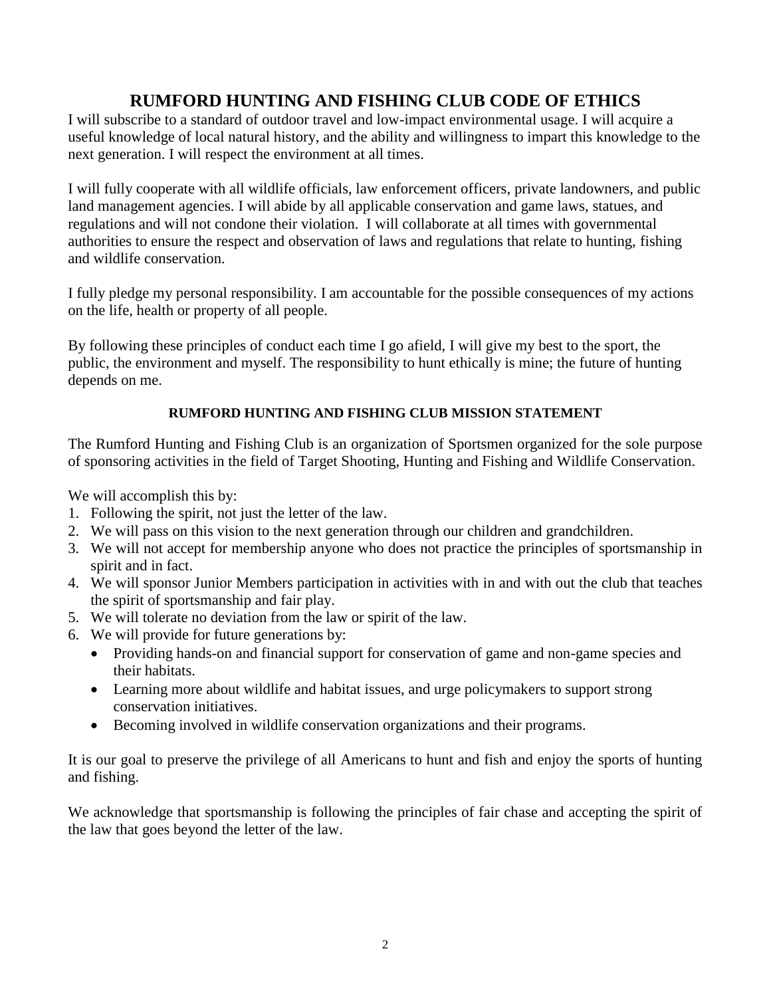# **RUMFORD HUNTING AND FISHING CLUB CODE OF ETHICS**

I will subscribe to a standard of outdoor travel and low-impact environmental usage. I will acquire a useful knowledge of local natural history, and the ability and willingness to impart this knowledge to the next generation. I will respect the environment at all times.

I will fully cooperate with all wildlife officials, law enforcement officers, private landowners, and public land management agencies. I will abide by all applicable conservation and game laws, statues, and regulations and will not condone their violation. I will collaborate at all times with governmental authorities to ensure the respect and observation of laws and regulations that relate to hunting, fishing and wildlife conservation.

I fully pledge my personal responsibility. I am accountable for the possible consequences of my actions on the life, health or property of all people.

By following these principles of conduct each time I go afield, I will give my best to the sport, the public, the environment and myself. The responsibility to hunt ethically is mine; the future of hunting depends on me.

## **RUMFORD HUNTING AND FISHING CLUB MISSION STATEMENT**

The Rumford Hunting and Fishing Club is an organization of Sportsmen organized for the sole purpose of sponsoring activities in the field of Target Shooting, Hunting and Fishing and Wildlife Conservation.

We will accomplish this by:

- 1. Following the spirit, not just the letter of the law.
- 2. We will pass on this vision to the next generation through our children and grandchildren.
- 3. We will not accept for membership anyone who does not practice the principles of sportsmanship in spirit and in fact.
- 4. We will sponsor Junior Members participation in activities with in and with out the club that teaches the spirit of sportsmanship and fair play.
- 5. We will tolerate no deviation from the law or spirit of the law.
- 6. We will provide for future generations by:
	- Providing hands-on and financial support for conservation of game and non-game species and their habitats.
	- Learning more about wildlife and habitat issues, and urge policymakers to support strong conservation initiatives.
	- Becoming involved in wildlife conservation organizations and their programs.

It is our goal to preserve the privilege of all Americans to hunt and fish and enjoy the sports of hunting and fishing.

We acknowledge that sportsmanship is following the principles of fair chase and accepting the spirit of the law that goes beyond the letter of the law.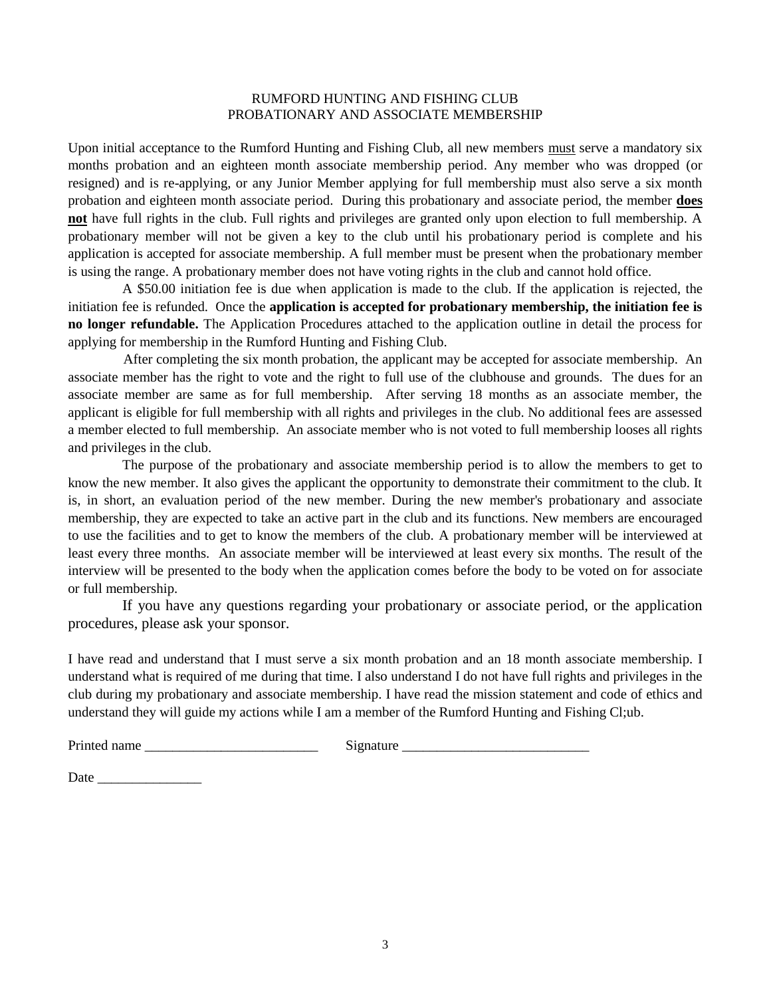#### RUMFORD HUNTING AND FISHING CLUB PROBATIONARY AND ASSOCIATE MEMBERSHIP

Upon initial acceptance to the Rumford Hunting and Fishing Club, all new members must serve a mandatory six months probation and an eighteen month associate membership period. Any member who was dropped (or resigned) and is re-applying, or any Junior Member applying for full membership must also serve a six month probation and eighteen month associate period. During this probationary and associate period, the member **does not** have full rights in the club. Full rights and privileges are granted only upon election to full membership. A probationary member will not be given a key to the club until his probationary period is complete and his application is accepted for associate membership. A full member must be present when the probationary member is using the range. A probationary member does not have voting rights in the club and cannot hold office.

A \$50.00 initiation fee is due when application is made to the club. If the application is rejected, the initiation fee is refunded. Once the **application is accepted for probationary membership, the initiation fee is no longer refundable.** The Application Procedures attached to the application outline in detail the process for applying for membership in the Rumford Hunting and Fishing Club.

After completing the six month probation, the applicant may be accepted for associate membership. An associate member has the right to vote and the right to full use of the clubhouse and grounds. The dues for an associate member are same as for full membership. After serving 18 months as an associate member, the applicant is eligible for full membership with all rights and privileges in the club. No additional fees are assessed a member elected to full membership. An associate member who is not voted to full membership looses all rights and privileges in the club.

The purpose of the probationary and associate membership period is to allow the members to get to know the new member. It also gives the applicant the opportunity to demonstrate their commitment to the club. It is, in short, an evaluation period of the new member. During the new member's probationary and associate membership, they are expected to take an active part in the club and its functions. New members are encouraged to use the facilities and to get to know the members of the club. A probationary member will be interviewed at least every three months. An associate member will be interviewed at least every six months. The result of the interview will be presented to the body when the application comes before the body to be voted on for associate or full membership.

If you have any questions regarding your probationary or associate period, or the application procedures, please ask your sponsor.

I have read and understand that I must serve a six month probation and an 18 month associate membership. I understand what is required of me during that time. I also understand I do not have full rights and privileges in the club during my probationary and associate membership. I have read the mission statement and code of ethics and understand they will guide my actions while I am a member of the Rumford Hunting and Fishing Cl;ub.

| Printed name |  |
|--------------|--|
|--------------|--|

Printed name \_\_\_\_\_\_\_\_\_\_\_\_\_\_\_\_\_\_\_\_\_\_\_\_\_ Signature \_\_\_\_\_\_\_\_\_\_\_\_\_\_\_\_\_\_\_\_\_\_\_\_\_\_\_

Date  $\Box$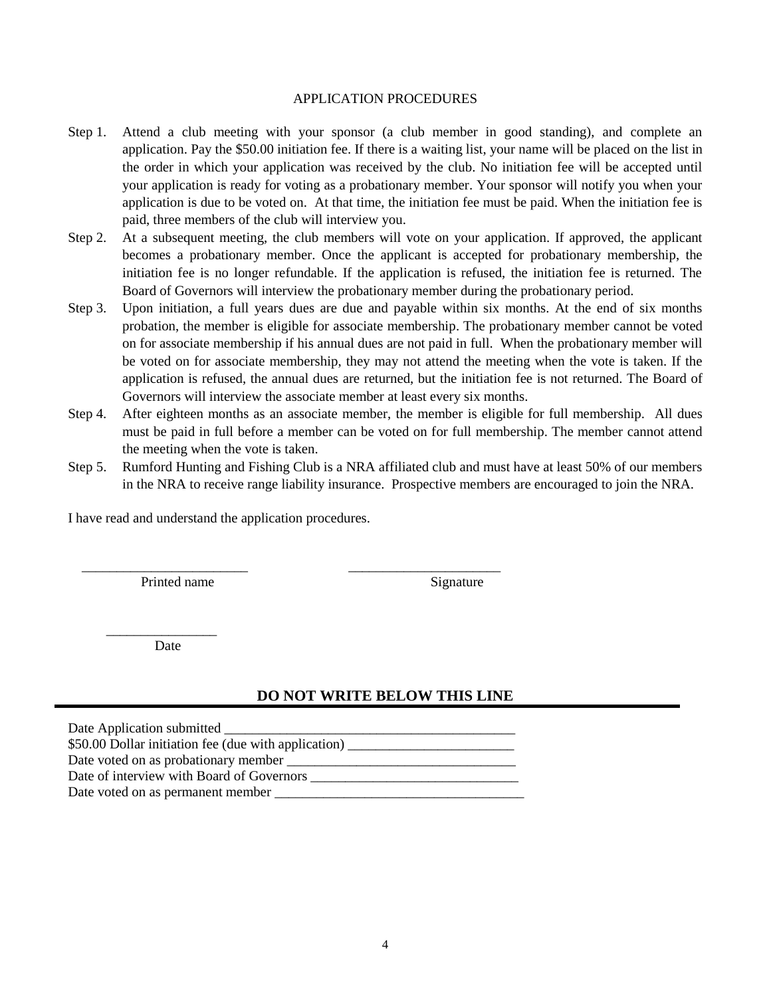#### APPLICATION PROCEDURES

- Step 1. Attend a club meeting with your sponsor (a club member in good standing), and complete an application. Pay the \$50.00 initiation fee. If there is a waiting list, your name will be placed on the list in the order in which your application was received by the club. No initiation fee will be accepted until your application is ready for voting as a probationary member. Your sponsor will notify you when your application is due to be voted on. At that time, the initiation fee must be paid. When the initiation fee is paid, three members of the club will interview you.
- Step 2. At a subsequent meeting, the club members will vote on your application. If approved, the applicant becomes a probationary member. Once the applicant is accepted for probationary membership, the initiation fee is no longer refundable. If the application is refused, the initiation fee is returned. The Board of Governors will interview the probationary member during the probationary period.
- Step 3. Upon initiation, a full years dues are due and payable within six months. At the end of six months probation, the member is eligible for associate membership. The probationary member cannot be voted on for associate membership if his annual dues are not paid in full. When the probationary member will be voted on for associate membership, they may not attend the meeting when the vote is taken. If the application is refused, the annual dues are returned, but the initiation fee is not returned. The Board of Governors will interview the associate member at least every six months.
- Step 4. After eighteen months as an associate member, the member is eligible for full membership. All dues must be paid in full before a member can be voted on for full membership. The member cannot attend the meeting when the vote is taken.
- Step 5. Rumford Hunting and Fishing Club is a NRA affiliated club and must have at least 50% of our members in the NRA to receive range liability insurance. Prospective members are encouraged to join the NRA.

I have read and understand the application procedures.

Printed name Signature

 $\overline{\phantom{a}}$  ,  $\overline{\phantom{a}}$  ,  $\overline{\phantom{a}}$  ,  $\overline{\phantom{a}}$  ,  $\overline{\phantom{a}}$  ,  $\overline{\phantom{a}}$  ,  $\overline{\phantom{a}}$  ,  $\overline{\phantom{a}}$  ,  $\overline{\phantom{a}}$  ,  $\overline{\phantom{a}}$  ,  $\overline{\phantom{a}}$  ,  $\overline{\phantom{a}}$  ,  $\overline{\phantom{a}}$  ,  $\overline{\phantom{a}}$  ,  $\overline{\phantom{a}}$  ,  $\overline{\phantom{a}}$ Date

#### **DO NOT WRITE BELOW THIS LINE**

| Date Application submitted                           |
|------------------------------------------------------|
| \$50.00 Dollar initiation fee (due with application) |
| Date voted on as probationary member                 |
| Date of interview with Board of Governors            |
| Date voted on as permanent member _                  |

 $\overline{\phantom{a}}$  , and the contract of the contract of the contract of the contract of the contract of the contract of the contract of the contract of the contract of the contract of the contract of the contract of the contrac